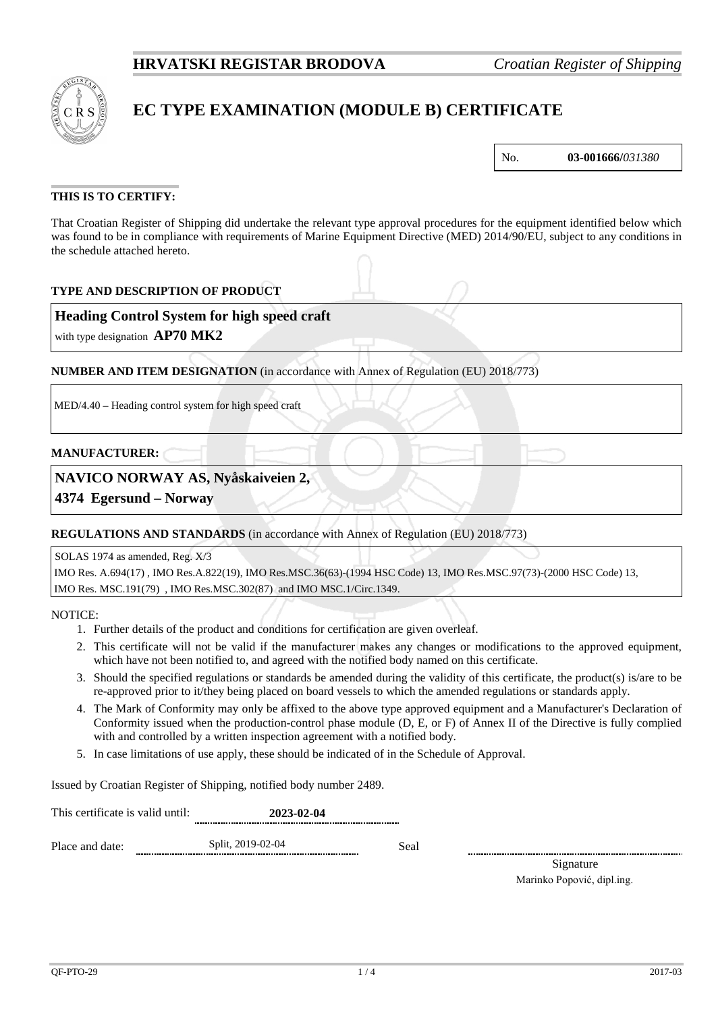

# **EC TYPE EXAMINATION (MODULE B) CERTIFICATE**

No. **03-001666/***031380*

## **THIS IS TO CERTIFY:**

That Croatian Register of Shipping did undertake the relevant type approval procedures for the equipment identified below which was found to be in compliance with requirements of Marine Equipment Directive (MED) 2014/90/EU, subject to any conditions in the schedule attached hereto.

### **TYPE AND DESCRIPTION OF PRODUCT**

### **Heading Control System for high speed craft**

with type designation **AP70 MK2**

**NUMBER AND ITEM DESIGNATION** (in accordance with Annex of Regulation (EU) 2018/773)

MED/4.40 – Heading control system for high speed craft

#### **MANUFACTURER:**

### **NAVICO NORWAY AS, Nyåskaiveien 2,**

**4374 Egersund – Norway**

#### **REGULATIONS AND STANDARDS** (in accordance with Annex of Regulation (EU) 2018/773)

SOLAS 1974 as amended, Reg. X/3

IMO Res. A.694(17) , IMO Res.A.822(19), IMO Res.MSC.36(63)-(1994 HSC Code) 13, IMO Res.MSC.97(73)-(2000 HSC Code) 13, IMO Res. MSC.191(79) , IMO Res.MSC.302(87) and IMO MSC.1/Circ.1349.

NOTICE:

- 1. Further details of the product and conditions for certification are given overleaf.
- 2. This certificate will not be valid if the manufacturer makes any changes or modifications to the approved equipment, which have not been notified to, and agreed with the notified body named on this certificate.
- 3. Should the specified regulations or standards be amended during the validity of this certificate, the product(s) is/are to be re-approved prior to it/they being placed on board vessels to which the amended regulations or standards apply.
- 4. The Mark of Conformity may only be affixed to the above type approved equipment and a Manufacturer's Declaration of Conformity issued when the production-control phase module (D, E, or F) of Annex II of the Directive is fully complied with and controlled by a written inspection agreement with a notified body.
- 5. In case limitations of use apply, these should be indicated of in the Schedule of Approval.

Issued by Croatian Register of Shipping, notified body number 2489.

This certificate is valid until: **2023-02-04** Place and date: Split, 2019-02-04 Seal

> Signature Marinko Popović, dipl.ing.

QF-PTO-29 2017-03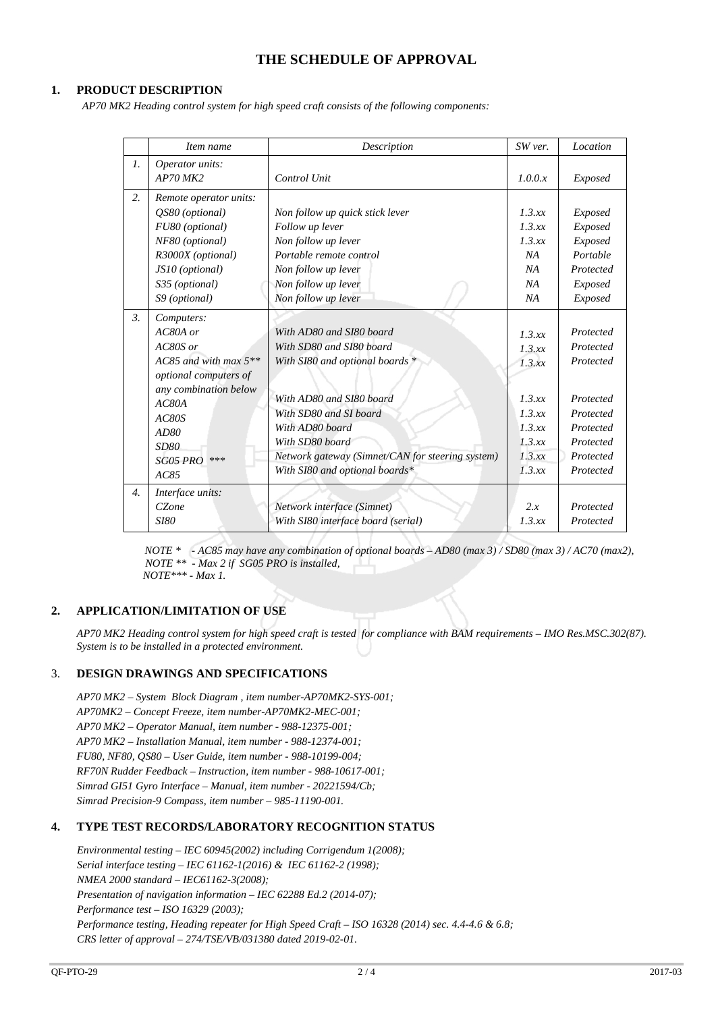# **THE SCHEDULE OF APPROVAL**

#### **1. PRODUCT DESCRIPTION**

 *AP70 MK2 Heading control system for high speed craft consists of the following components:*

|                  | Item name                                                                                                                                                                             | Description                                                                                                                                                                                                                                                               | SW ver.                                                                                | Location                                                                                                          |
|------------------|---------------------------------------------------------------------------------------------------------------------------------------------------------------------------------------|---------------------------------------------------------------------------------------------------------------------------------------------------------------------------------------------------------------------------------------------------------------------------|----------------------------------------------------------------------------------------|-------------------------------------------------------------------------------------------------------------------|
| $\mathfrak{1}$ . | Operator units:                                                                                                                                                                       |                                                                                                                                                                                                                                                                           |                                                                                        |                                                                                                                   |
|                  | $AP70$ MK2                                                                                                                                                                            | Control Unit                                                                                                                                                                                                                                                              | 1.0.0.x                                                                                | Exposed                                                                                                           |
| 2.               | Remote operator units:<br>OS80 (optional)<br>FU80 (optional)<br>NF80 (optional)<br>R3000X (optional)                                                                                  | Non follow up quick stick lever<br>Follow up lever<br>Non follow up lever<br>Portable remote control                                                                                                                                                                      | 1.3.xx<br>1.3.xx<br>1.3.xx<br>NA                                                       | Exposed<br>Exposed<br>Exposed<br>Portable                                                                         |
|                  | JS10 (optional)                                                                                                                                                                       | Non follow up lever                                                                                                                                                                                                                                                       | NA                                                                                     | Protected                                                                                                         |
|                  | S35 (optional)                                                                                                                                                                        | Non follow up lever                                                                                                                                                                                                                                                       | NA                                                                                     | Exposed                                                                                                           |
|                  | S9 (optional)                                                                                                                                                                         | Non follow up lever                                                                                                                                                                                                                                                       | NA                                                                                     | Exposed                                                                                                           |
| $\mathfrak{Z}$ . | Computers:<br>$AC80A$ or<br>AC80S or<br>AC85 and with max $5**$<br>optional computers of<br>any combination below<br>AC80A<br>AC80S<br>AD80<br><b>SD80</b><br>***<br>SG05 PRO<br>AC85 | With AD80 and SI80 board<br>With SD80 and SI80 board<br>With SI80 and optional boards *<br>With AD80 and SI80 board<br>With SD80 and SI board<br>With AD80 board<br>With SD80 board<br>Network gateway (Simnet/CAN for steering system)<br>With SI80 and optional boards* | 1.3.xx<br>1.3.xx<br>1.3.xx<br>1.3.xx<br>1.3.xx<br>1.3.xx<br>1.3.xx<br>1.3.xx<br>1.3.xx | Protected<br>Protected<br>Protected<br>Protected<br>Protected<br>Protected<br>Protected<br>Protected<br>Protected |
| $\overline{4}$ . | Interface units:<br>CZone<br><i>SI80</i>                                                                                                                                              | Network interface (Simnet)<br>With SI80 interface board (serial)                                                                                                                                                                                                          | 2.x<br>1.3.xx                                                                          | Protected<br>Protected                                                                                            |

*NOTE \* - AC85 may have any combination of optional boards – AD80 (max 3) / SD80 (max 3) / AC70 (max2), NOTE \*\* - Max 2 if SG05 PRO is installed, NOTE\*\*\* - Max 1.*

## **2. APPLICATION/LIMITATION OF USE**

*AP70 MK2 Heading control system for high speed craft is tested for compliance with BAM requirements – IMO Res.MSC.302(87). System is to be installed in a protected environment.*

#### 3. **DESIGN DRAWINGS AND SPECIFICATIONS**

*AP70 MK2 – System Block Diagram , item number-AP70MK2-SYS-001; AP70MK2 – Concept Freeze, item number-AP70MK2-MEC-001; AP70 MK2 – Operator Manual, item number - 988-12375-001; AP70 MK2 – Installation Manual, item number - 988-12374-001; FU80, NF80, QS80 – User Guide, item number - 988-10199-004; RF70N Rudder Feedback – Instruction, item number - 988-10617-001; Simrad GI51 Gyro Interface – Manual, item number - 20221594/Cb; Simrad Precision-9 Compass, item number – 985-11190-001.*

#### **4. TYPE TEST RECORDS/LABORATORY RECOGNITION STATUS**

*Environmental testing – IEC 60945(2002) including Corrigendum 1(2008); Serial interface testing – IEC 61162-1(2016) & IEC 61162-2 (1998); NMEA 2000 standard – IEC61162-3(2008); Presentation of navigation information – IEC 62288 Ed.2 (2014-07); Performance test – ISO 16329 (2003); Performance testing, Heading repeater for High Speed Craft – ISO 16328 (2014) sec. 4.4-4.6 & 6.8; CRS letter of approval – 274/TSE/VB/031380 dated 2019-02-01.*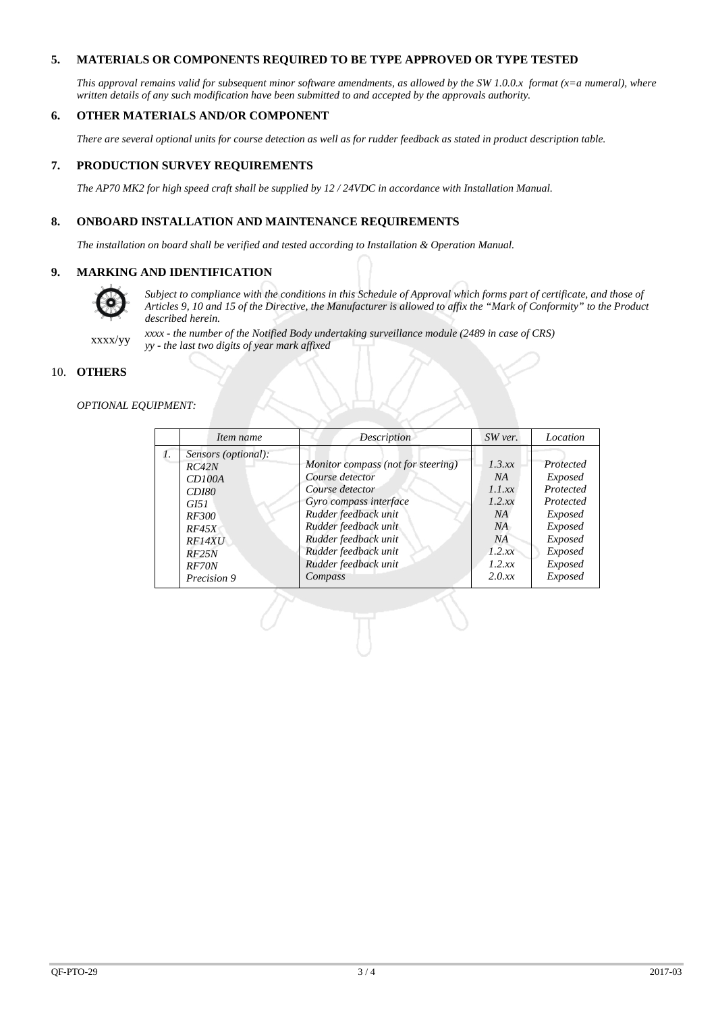### **5. MATERIALS OR COMPONENTS REQUIRED TO BE TYPE APPROVED OR TYPE TESTED**

*This approval remains valid for subsequent minor software amendments, as allowed by the SW 1.0.0.x format (x=a numeral), where written details of any such modification have been submitted to and accepted by the approvals authority.*

#### **6. OTHER MATERIALS AND/OR COMPONENT**

*There are several optional units for course detection as well as for rudder feedback as stated in product description table.*

#### **7. PRODUCTION SURVEY REQUIREMENTS**

*The AP70 MK2 for high speed craft shall be supplied by 12 / 24VDC in accordance with Installation Manual.*

#### **8. ONBOARD INSTALLATION AND MAINTENANCE REQUIREMENTS**

*The installation on board shall be verified and tested according to Installation & Operation Manual.*

#### **9. MARKING AND IDENTIFICATION**



*Subject to compliance with the conditions in this Schedule of Approval which forms part of certificate, and those of Articles 9, 10 and 15 of the Directive, the Manufacturer is allowed to affix the "Mark of Conformity" to the Product described herein.*

xxxx/yy *xxxx - the number of the Notified Body undertaking surveillance module (2489 in case of CRS) yy - the last two digits of year mark affixed*

#### 10. **OTHERS**

#### *OPTIONAL EQUIPMENT:*

|    | Item name                                                                                                       | Description                                                                                                                                                                                        | $SW$ ver.                                                       | Location                                                                                                        |
|----|-----------------------------------------------------------------------------------------------------------------|----------------------------------------------------------------------------------------------------------------------------------------------------------------------------------------------------|-----------------------------------------------------------------|-----------------------------------------------------------------------------------------------------------------|
| 1. | Sensors (optional):<br>RC42N<br>CD100A<br><i>CD180</i><br>GI51<br><i>RF300</i><br><i>RF45X</i><br><i>RF14XU</i> | Monitor compass (not for steering)<br>Course detector<br>Course detector<br>Gyro compass interface<br>Rudder feedback unit<br>Rudder feedback unit<br>Rudder feedback unit<br>Rudder feedback unit | 1.3 xx<br>NA<br>1.1 xx<br>1.2 xx<br>NA<br>NA<br>NA<br>$1.2$ .xx | Protected<br><i>Exposed</i><br>Protected<br>Protected<br><i>Exposed</i><br><i>Exposed</i><br>Exposed<br>Exposed |
|    | RF25N<br><b>RF70N</b><br>Precision 9                                                                            | Rudder feedback unit<br>Compass                                                                                                                                                                    | 1.2 xx<br>2.0xx                                                 | Exposed<br>Exposed                                                                                              |